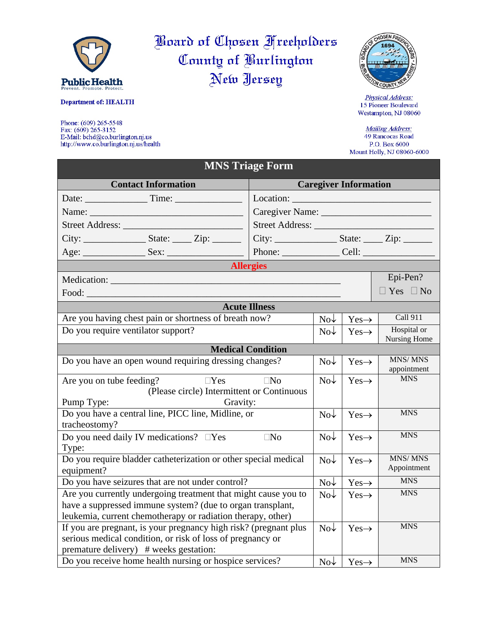

## **Department of: HEALTH**

Phone: (609) 265-5548 Fax: (609) 265-3152 E-Mail: bchd@co.burlington.nj.us http://www.co.burlington.nj.us/health

Board of Chosen Freeholders County of Burlington New Jersey

MNC Triogo For



Physical Address: 15 Pioneer Boulevard Westampton, NJ 08060

Mailing Address: 49 Rancocas Road P.O. Box  $6000\,$ Mount Holly, NJ 08060-6000

| вито тиадет отш                                                                                                              |                      |                       |                                        |                               |  |  |
|------------------------------------------------------------------------------------------------------------------------------|----------------------|-----------------------|----------------------------------------|-------------------------------|--|--|
| <b>Contact Information</b><br><b>Caregiver Information</b>                                                                   |                      |                       |                                        |                               |  |  |
|                                                                                                                              |                      |                       |                                        |                               |  |  |
|                                                                                                                              |                      |                       |                                        |                               |  |  |
|                                                                                                                              | Street Address:      |                       |                                        |                               |  |  |
| $City:$ $Subset:$ $Zip:$ $\qquad \qquad$ $Zip:$ $\qquad \qquad$                                                              |                      |                       |                                        |                               |  |  |
|                                                                                                                              |                      |                       |                                        |                               |  |  |
| <b>Allergies</b>                                                                                                             |                      |                       |                                        |                               |  |  |
|                                                                                                                              |                      |                       |                                        | Epi-Pen?                      |  |  |
|                                                                                                                              |                      |                       |                                        | $\Box$ Yes $\Box$ No          |  |  |
|                                                                                                                              | <b>Acute Illness</b> |                       |                                        |                               |  |  |
| Are you having chest pain or shortness of breath now?                                                                        |                      | $\text{No}\downarrow$ | $Yes \rightarrow$                      | <b>Call 911</b>               |  |  |
| Do you require ventilator support?                                                                                           |                      | $\text{No}\downarrow$ | $Yes \rightarrow$                      | Hospital or<br>Nursing Home   |  |  |
| <b>Medical Condition</b>                                                                                                     |                      |                       |                                        |                               |  |  |
| Do you have an open wound requiring dressing changes?                                                                        |                      | $\text{No}\downarrow$ | $Yes \rightarrow$                      | <b>MNS/MNS</b><br>appointment |  |  |
| $\Box$ Yes<br>Are you on tube feeding?                                                                                       | $\square$ No         | $\text{No}\downarrow$ | $Yes \rightarrow$                      | <b>MNS</b>                    |  |  |
| (Please circle) Intermittent or Continuous                                                                                   |                      |                       |                                        |                               |  |  |
| Pump Type:<br>Gravity:                                                                                                       |                      |                       |                                        | <b>MNS</b>                    |  |  |
| Do you have a central line, PICC line, Midline, or<br>tracheostomy?                                                          |                      | $\text{No}\downarrow$ | $Yes \rightarrow$                      |                               |  |  |
| Do you need daily IV medications? $\square$ Yes                                                                              | $\Box$ No            | $\text{No}\downarrow$ | $Yes \rightarrow$                      | <b>MNS</b>                    |  |  |
| Type:<br>Do you require bladder catheterization or other special medical                                                     |                      | $\text{No}\downarrow$ | $Yes \rightarrow$                      | MNS/MNS<br>Appointment        |  |  |
| equipment?<br>Do you have seizures that are not under control?                                                               |                      | $\text{No}\downarrow$ |                                        | <b>MNS</b>                    |  |  |
|                                                                                                                              |                      | $\text{No}\downarrow$ | $Yes \rightarrow$<br>$Yes \rightarrow$ | <b>MNS</b>                    |  |  |
| Are you currently undergoing treatment that might cause you to<br>have a suppressed immune system? (due to organ transplant, |                      |                       |                                        |                               |  |  |
| leukemia, current chemotherapy or radiation therapy, other)                                                                  |                      |                       |                                        |                               |  |  |
| If you are pregnant, is your pregnancy high risk? (pregnant plus                                                             |                      | $\text{No}\downarrow$ | $Yes \rightarrow$                      | <b>MNS</b>                    |  |  |
| serious medical condition, or risk of loss of pregnancy or                                                                   |                      |                       |                                        |                               |  |  |
| premature delivery) # weeks gestation:                                                                                       |                      |                       |                                        |                               |  |  |
| Do you receive home health nursing or hospice services?                                                                      |                      | $N_0\downarrow$       | $Yes \rightarrow$                      | <b>MNS</b>                    |  |  |